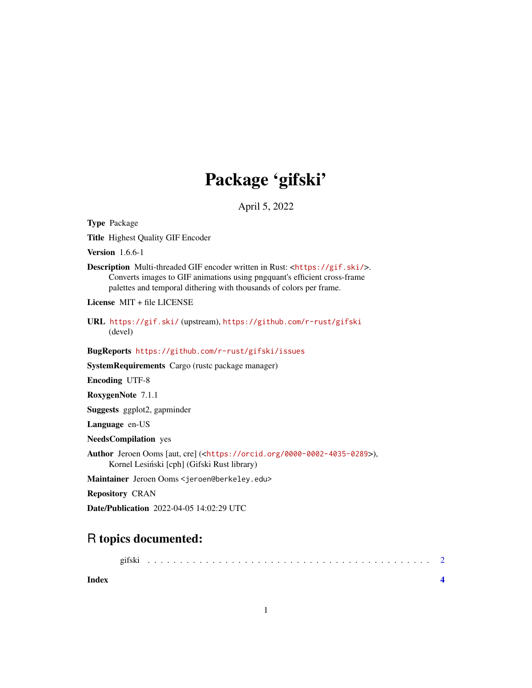## Package 'gifski'

April 5, 2022

<span id="page-0-0"></span>Type Package

Title Highest Quality GIF Encoder

Version 1.6.6-1

Description Multi-threaded GIF encoder written in Rust: <<https://gif.ski/>>. Converts images to GIF animations using pngquant's efficient cross-frame palettes and temporal dithering with thousands of colors per frame.

License MIT + file LICENSE

URL <https://gif.ski/> (upstream), <https://github.com/r-rust/gifski> (devel)

BugReports <https://github.com/r-rust/gifski/issues>

SystemRequirements Cargo (rustc package manager)

Encoding UTF-8

RoxygenNote 7.1.1

Suggests ggplot2, gapminder

Language en-US

NeedsCompilation yes

```
Author Jeroen Ooms [aut, cre] (<https://orcid.org/0000-0002-4035-0289>),
     Kornel Lesiński [cph] (Gifski Rust library)
```
Maintainer Jeroen Ooms <jeroen@berkeley.edu>

Repository CRAN

Date/Publication 2022-04-05 14:02:29 UTC

### R topics documented:

| Index |  |  |  |  |  |  |  |  |  |  |  |  |  |  |  |  |  |  |  |  |
|-------|--|--|--|--|--|--|--|--|--|--|--|--|--|--|--|--|--|--|--|--|

1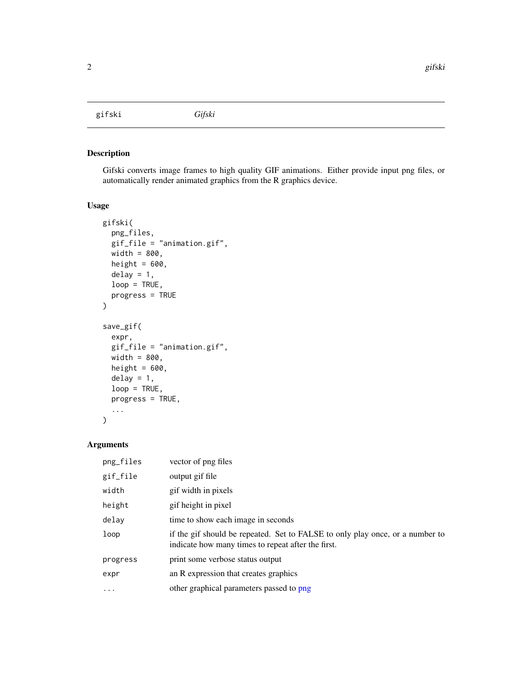<span id="page-1-0"></span>gifski *Gifski*

#### Description

Gifski converts image frames to high quality GIF animations. Either provide input png files, or automatically render animated graphics from the R graphics device.

#### Usage

```
gifski(
 png_files,
 gif_file = "animation.gif",
 width = 800,
 height = 600,
 delay = 1,
 loop = TRUE,
 progress = TRUE
)
save_gif(
 expr,
 gif_file = "animation.gif",
 width = 800,
 height = 600,
 delay = 1,
 loop = TRUE,progress = TRUE,
  ...
)
```
#### Arguments

| png_files | vector of png files                                                                                                                 |
|-----------|-------------------------------------------------------------------------------------------------------------------------------------|
| gif_file  | output gif file                                                                                                                     |
| width     | gif width in pixels                                                                                                                 |
| height    | gif height in pixel                                                                                                                 |
| delay     | time to show each image in seconds                                                                                                  |
| loop      | if the gif should be repeated. Set to FALSE to only play once, or a number to<br>indicate how many times to repeat after the first. |
| progress  | print some verbose status output                                                                                                    |
| expr      | an R expression that creates graphics                                                                                               |
| $\cdots$  | other graphical parameters passed to png                                                                                            |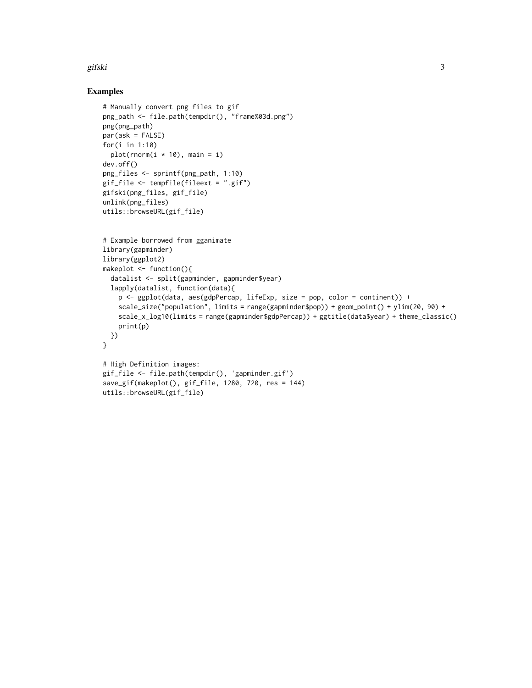#### gifski 3

#### Examples

```
# Manually convert png files to gif
png_path <- file.path(tempdir(), "frame%03d.png")
png(png_path)
par(ask = FALSE)for(i in 1:10)
  plot(rnorm(i * 10), main = i)dev.off()
png_files <- sprintf(png_path, 1:10)
gif_file <- tempfile(fileext = ".gif")
gifski(png_files, gif_file)
unlink(png_files)
utils::browseURL(gif_file)
```

```
# Example borrowed from gganimate
library(gapminder)
library(ggplot2)
makeplot <- function(){
  datalist <- split(gapminder, gapminder$year)
  lapply(datalist, function(data){
   p <- ggplot(data, aes(gdpPercap, lifeExp, size = pop, color = continent)) +
    scale_size("population", limits = range(gapminder$pop)) + geom_point() + ylim(20, 90) +
   scale_x_log10(limits = range(gapminder$gdpPercap)) + ggtitle(data$year) + theme_classic()
   print(p)
 })
}
# High Definition images:
gif_file <- file.path(tempdir(), 'gapminder.gif')
save_gif(makeplot(), gif_file, 1280, 720, res = 144)
utils::browseURL(gif_file)
```